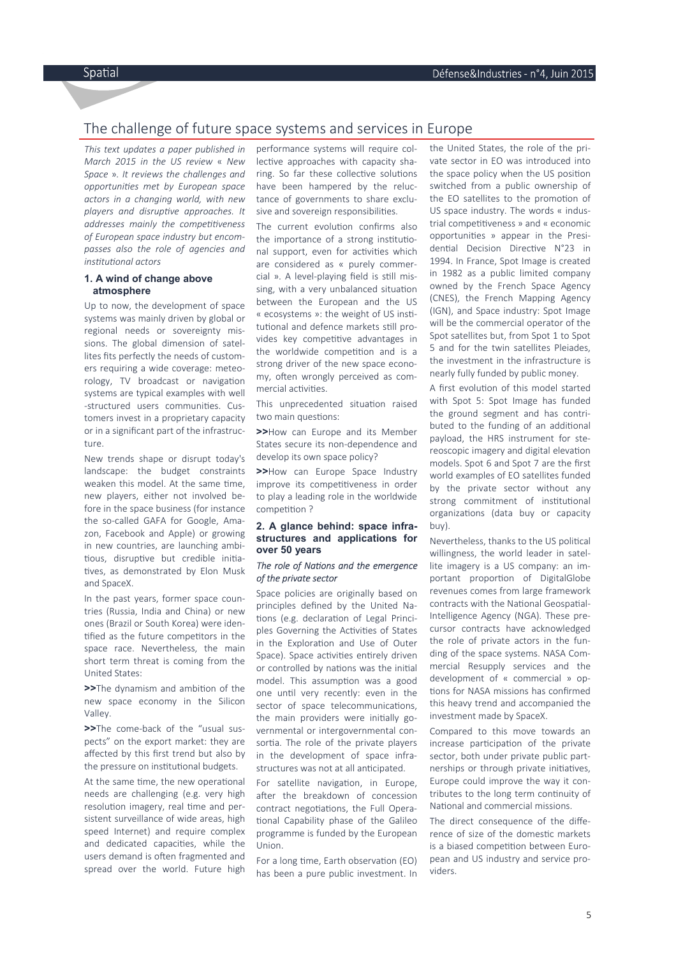# The challenge of future space systems and services in Europe

*This text updates a paper published in March 2015 in the US review* « *New Space* »*. It reviews the challenges and opportuni es met by European space actors in a changing world, with new players and disruptive approaches. It addresses mainly the competitiveness of European space industry but encompasses also the role of agencies and institutional actors* 

### **1. A wind of change above atmosphere**

Up to now, the development of space systems was mainly driven by global or regional needs or sovereignty missions. The global dimension of satellites fits perfectly the needs of customers requiring a wide coverage: meteorology, TV broadcast or navigation systems are typical examples with well -structured users communities. Customers invest in a proprietary capacity or in a significant part of the infrastructure.

New trends shape or disrupt today's landscape: the budget constraints weaken this model. At the same time, new players, either not involved before in the space business (for instance the so-called GAFA for Google, Amazon, Facebook and Apple) or growing in new countries, are launching ambi tious, disruptive but credible initiatives, as demonstrated by Elon Musk and SpaceX.

In the past years, former space countries (Russia, India and China) or new ones (Brazil or South Korea) were iden tified as the future competitors in the space race. Nevertheless, the main short term threat is coming from the United States:

**>>**The dynamism and ambition of the new space economy in the Silicon Valley.

**>>**The come-back of the "usual suspects" on the export market: they are affected by this first trend but also by the pressure on institutional budgets.

At the same time, the new operational needs are challenging (e.g. very high resolution imagery, real time and persistent surveillance of wide areas, high speed Internet) and require complex and dedicated capacities, while the users demand is often fragmented and spread over the world. Future high

performance systems will require collective approaches with capacity sharing. So far these collective solutions have been hampered by the reluctance of governments to share exclusive and sovereign responsibilities.

The current evolution confirms also the importance of a strong institutional support, even for activities which are considered as « purely commercial ». A level-playing field is still missing, with a very unbalanced situation between the European and the US « ecosystems »: the weight of US institutional and defence markets still provides key competitive advantages in the worldwide competition and is a strong driver of the new space economy, often wrongly perceived as commercial activities.

This unprecedented situation raised two main questions:

**>>**How can Europe and its Member States secure its non-dependence and develop its own space policy?

**>>**How can Europe Space Industry improve its competitiveness in order to play a leading role in the worldwide competition ?

### **2. A glance behind: space infrastructures and applications for over 50 years**

### **The role of Nations and the emergence** *of the private sector*

Space policies are originally based on principles defined by the United Na tions (e.g. declaration of Legal Principles Governing the Activities of States in the Exploration and Use of Outer Space). Space activities entirely driven or controlled by nations was the initial model. This assumption was a good one until very recently: even in the sector of space telecommunications. the main providers were initially governmental or intergovernmental consortia. The role of the private players in the development of space infrastructures was not at all anticipated.

For satellite navigation, in Europe, after the breakdown of concession contract negotiations, the Full Operational Capability phase of the Galileo programme is funded by the European Union.

For a long time, Earth observation (EO) has been a pure public investment. In the United States, the role of the private sector in EO was introduced into the space policy when the US position switched from a public ownership of the EO satellites to the promotion of US space industry. The words « industrial competitiveness » and « economic opportunities » appear in the Presidential Decision Directive N°23 in 1994. In France, Spot Image is created in 1982 as a public limited company owned by the French Space Agency (CNES), the French Mapping Agency (IGN), and Space industry: Spot Image will be the commercial operator of the Spot satellites but, from Spot 1 to Spot 5 and for the twin satellites Pleiades, the investment in the infrastructure is nearly fully funded by public money.

A first evolution of this model started with Spot 5: Spot Image has funded the ground segment and has contributed to the funding of an additional payload, the HRS instrument for stereoscopic imagery and digital elevation models. Spot 6 and Spot 7 are the first world examples of EO satellites funded by the private sector without any strong commitment of institutional organizations (data buy or capacity buy).

Nevertheless, thanks to the US political willingness, the world leader in satellite imagery is a US company: an important proportion of DigitalGlobe revenues comes from large framework contracts with the National Geospatial-Intelligence Agency (NGA). These precursor contracts have acknowledged the role of private actors in the funding of the space systems. NASA Commercial Resupply services and the development of « commercial » op tions for NASA missions has confirmed this heavy trend and accompanied the investment made by SpaceX.

Compared to this move towards an increase participation of the private sector, both under private public partnerships or through private initiatives, Europe could improve the way it contributes to the long term continuity of National and commercial missions.

The direct consequence of the difference of size of the domestic markets is a biased competition between European and US industry and service providers.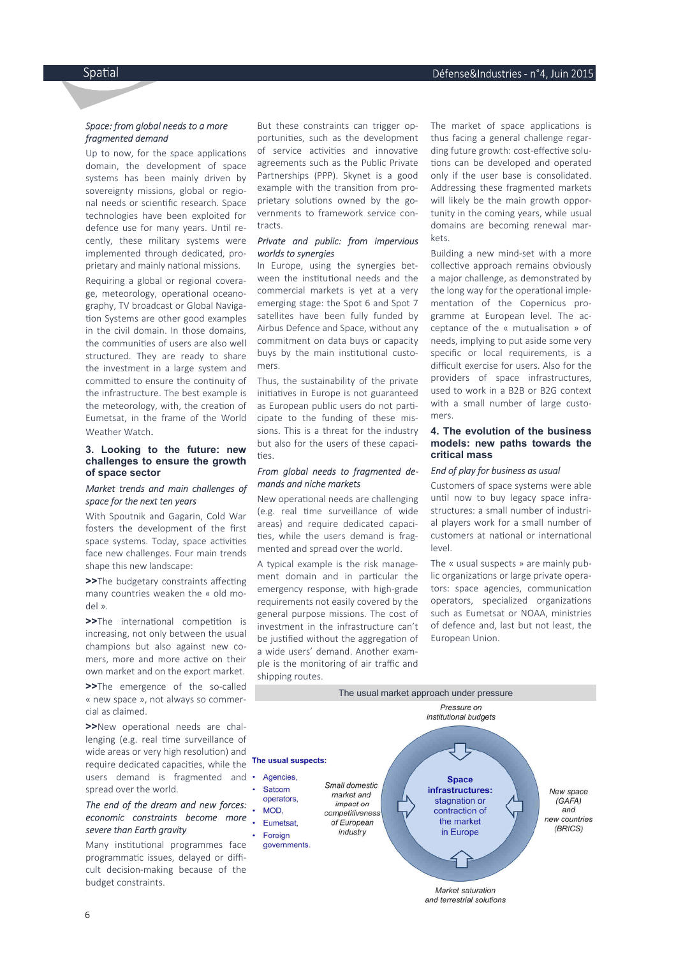### *Space: from global needs to a more fragmented demand*

Up to now, for the space applications domain, the development of space systems has been mainly driven by sovereignty missions, global or regional needs or scientific research. Space technologies have been exploited for defence use for many years. Until recently, these military systems were implemented through dedicated, proprietary and mainly national missions.

Requiring a global or regional coverage, meteorology, operational oceanography, TV broadcast or Global Naviga tion Systems are other good examples in the civil domain. In those domains, the communities of users are also well structured. They are ready to share the investment in a large system and committed to ensure the continuity of the infrastructure. The best example is the meteorology, with, the creation of Eumetsat, in the frame of the World Weather Watch.

#### **3. Looking to the future: new challenges to ensure the growth of space sector**

### *Market trends and main challenges of space for the next ten years*

With Spoutnik and Gagarin, Cold War fosters the development of the first space systems. Today, space activities face new challenges. Four main trends shape this new landscape:

**>>**The budgetary constraints affecting many countries weaken the « old model ».

**>>**The international competition is increasing, not only between the usual champions but also against new comers, more and more active on their own market and on the export market.

**>>**The emergence of the so-called « new space », not always so commercial as claimed.

**>>**New operational needs are challenging (e.g. real time surveillance of wide areas or very high resolution) and require dedicated capacities, while the users demand is fragmented and • spread over the world.

## *The end of the dream and new forces: economic constraints become more severe than Earth gravity*

Many institutional programmes face programmatic issues, delayed or difficult decision-making because of the budget constraints.

But these constraints can trigger opportunities, such as the development of service activities and innovative agreements such as the Public Private Partnerships (PPP). Skynet is a good example with the transition from proprietary solutions owned by the governments to framework service contracts.

### *Private and public: from impervious worlds to synergies*

In Europe, using the synergies between the institutional needs and the commercial markets is yet at a very emerging stage: the Spot 6 and Spot 7 satellites have been fully funded by Airbus Defence and Space, without any commitment on data buys or capacity buys by the main institutional customers.

Thus, the sustainability of the private initiatives in Europe is not guaranteed as European public users do not participate to the funding of these missions. This is a threat for the industry but also for the users of these capaci ties.

### *From global needs to fragmented demands and niche markets*

New operational needs are challenging (e.g. real time surveillance of wide areas) and require dedicated capaci ties, while the users demand is fragmented and spread over the world.

A typical example is the risk management domain and in particular the emergency response, with high-grade requirements not easily covered by the general purpose missions. The cost of investment in the infrastructure can't be justified without the aggregation of a wide users' demand. Another example is the monitoring of air traffic and shipping routes.

The market of space applications is thus facing a general challenge regarding future growth: cost-effective solutions can be developed and operated only if the user base is consolidated. Addressing these fragmented markets will likely be the main growth opportunity in the coming years, while usual domains are becoming renewal markets.

Building a new mind-set with a more collective approach remains obviously a major challenge, as demonstrated by the long way for the operational implementation of the Copernicus programme at European level. The acceptance of the « mutualisation » of needs, implying to put aside some very specific or local requirements, is a difficult exercise for users. Also for the providers of space infrastructures, used to work in a B2B or B2G context with a small number of large customers.

### **4. The evolution of the business models: new paths towards the critical mass**

### *End of play for business as usual*

Customers of space systems were able until now to buy legacy space infrastructures: a small number of industrial players work for a small number of customers at national or international level.

The « usual suspects » are mainly public organizations or large private operators: space agencies, communication operators, specialized organizations such as Eumetsat or NOAA, ministries of defence and, last but not least, the European Union.



and terrestrial solutions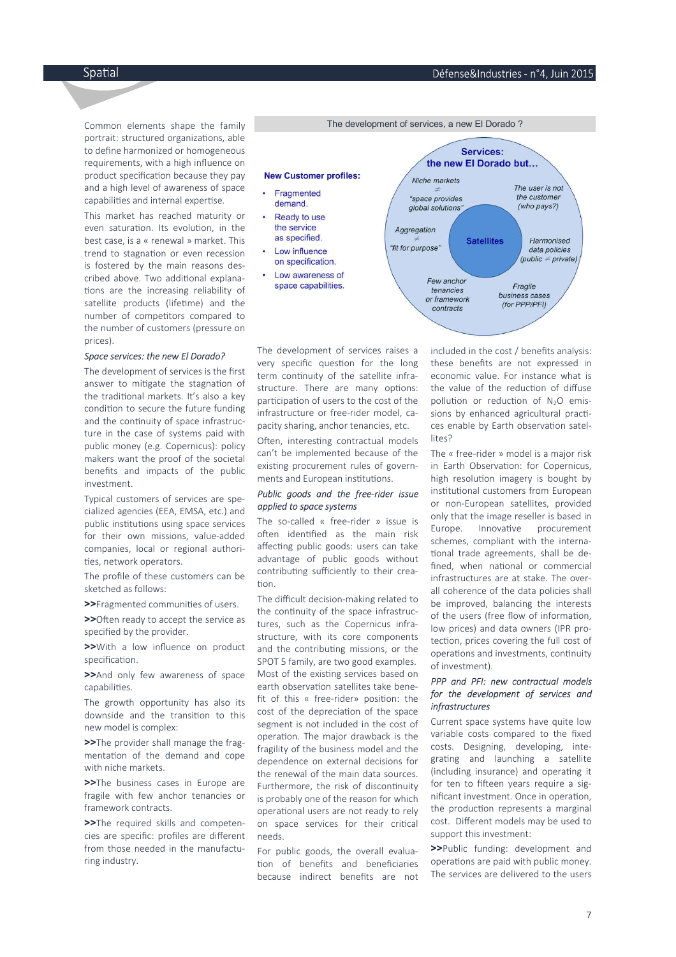7

Spatial

Common elements shape the family portrait: structured organizations, able to define harmonized or homogeneous requirements, with a high influence on product specification because they pay and a high level of awareness of space capabilities and internal expertise.

This market has reached maturity or even saturation. Its evolution, in the best case, is a « renewal » market. This trend to stagnation or even recession is fostered by the main reasons described above. Two additional explanations are the increasing reliability of satellite products (lifetime) and the number of competitors compared to the number of customers (pressure on prices).

#### *Space services: the new El Dorado?*

The development of services is the first answer to mitigate the stagnation of the traditional markets. It's also a key condition to secure the future funding and the continuity of space infrastructure in the case of systems paid with public money (e.g. Copernicus): policy makers want the proof of the societal benefits and impacts of the public investment.

Typical customers of services are specialized agencies (EEA, EMSA, etc.) and public institutions using space services for their own missions, value-added companies, local or regional authori ties, network operators.

The profile of these customers can be sketched as follows:

**>>**Fragmented communities of users.

**>>**Often ready to accept the service as specified by the provider.

**>>**With a low influence on product specification.

**>>**And only few awareness of space capabilities.

The growth opportunity has also its downside and the transition to this new model is complex:

**>>**The provider shall manage the fragmentation of the demand and cope with niche markets.

**>>**The business cases in Europe are fragile with few anchor tenancies or framework contracts.

**>>**The required skills and competencies are specific: profiles are different from those needed in the manufacturing industry.



The development of services raises a very specific question for the long term continuity of the satellite infrastructure. There are many options: participation of users to the cost of the infrastructure or free-rider model, capacity sharing, anchor tenancies, etc.

Often, interesting contractual models can't be implemented because of the existing procurement rules of governments and European institutions.

### *Public goods and the free-rider issue applied to space systems*

The so-called « free-rider » issue is often identified as the main risk affecting public goods: users can take advantage of public goods without contributing sufficiently to their creation.

The difficult decision-making related to the continuity of the space infrastructures, such as the Copernicus infrastructure, with its core components and the contributing missions, or the SPOT 5 family, are two good examples. Most of the existing services based on earth observation satellites take benefit of this « free-rider» position: the cost of the depreciation of the space segment is not included in the cost of operation. The major drawback is the fragility of the business model and the dependence on external decisions for the renewal of the main data sources. Furthermore, the risk of discontinuity is probably one of the reason for which operational users are not ready to rely on space services for their critical needs.

For public goods, the overall evalua tion of benefits and beneficiaries because indirect benefits are not included in the cost / benefits analysis: these benefits are not expressed in economic value. For instance what is the value of the reduction of diffuse pollution or reduction of  $N_2O$  emissions by enhanced agricultural practices enable by Earth observation satellites?

The « free-rider » model is a major risk in Earth Observation: for Copernicus, high resolution imagery is bought by institutional customers from European or non-European satellites, provided only that the image reseller is based in Europe. Innovative procurement schemes, compliant with the interna tional trade agreements, shall be defined, when national or commercial infrastructures are at stake. The overall coherence of the data policies shall be improved, balancing the interests of the users (free flow of information, low prices) and data owners (IPR protection, prices covering the full cost of operations and investments, continuity of investment).

### *PPP and PFI: new contractual models for the development of services and infrastructures*

Current space systems have quite low variable costs compared to the fixed costs. Designing, developing, integrating and launching a satellite (including insurance) and operating it for ten to fifteen years require a significant investment. Once in operation, the production represents a marginal cost. Different models may be used to support this investment:

**>>**Public funding: development and operations are paid with public money. The services are delivered to the users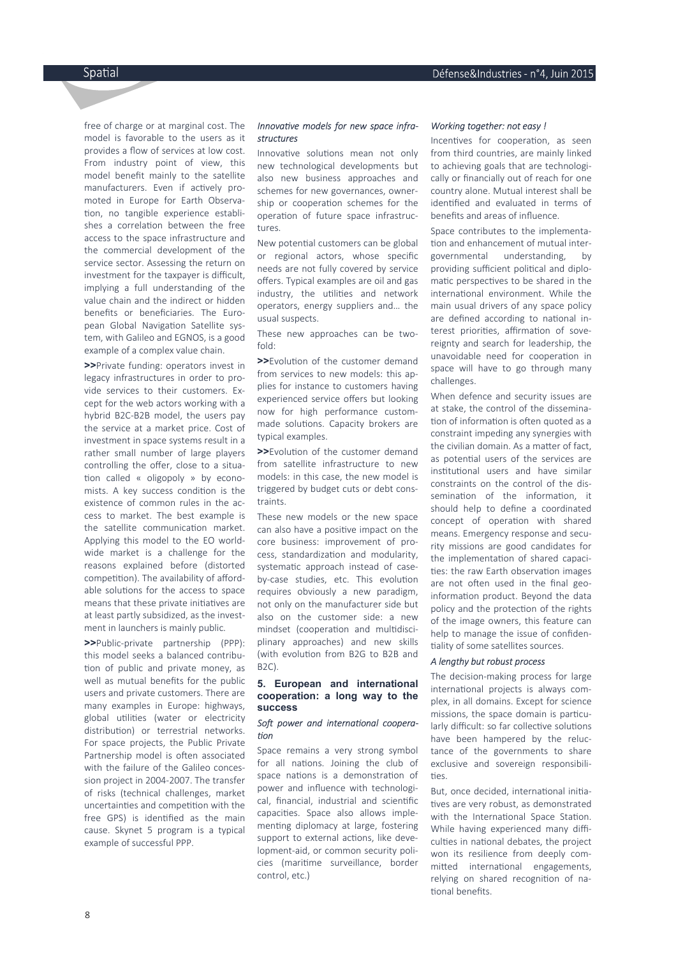free of charge or at marginal cost. The model is favorable to the users as it provides a flow of services at low cost. From industry point of view, this model benefit mainly to the satellite manufacturers. Even if actively promoted in Europe for Earth Observa tion, no tangible experience establishes a correlation between the free access to the space infrastructure and the commercial development of the service sector. Assessing the return on investment for the taxpayer is difficult, implying a full understanding of the value chain and the indirect or hidden benefits or beneficiaries. The European Global Navigation Satellite system, with Galileo and EGNOS, is a good example of a complex value chain.

**>>**Private funding: operators invest in legacy infrastructures in order to provide services to their customers. Except for the web actors working with a hybrid B2C-B2B model, the users pay the service at a market price. Cost of investment in space systems result in a rather small number of large players controlling the offer, close to a situa tion called « oligopoly » by economists. A key success condition is the existence of common rules in the access to market. The best example is the satellite communication market. Applying this model to the EO worldwide market is a challenge for the reasons explained before (distorted competition). The availability of affordable solutions for the access to space means that these private initiatives are at least partly subsidized, as the investment in launchers is mainly public.

**>>**Public-private partnership (PPP): this model seeks a balanced contribu tion of public and private money, as well as mutual benefits for the public users and private customers. There are many examples in Europe: highways, global utilities (water or electricity distribution) or terrestrial networks. For space projects, the Public Private Partnership model is often associated with the failure of the Galileo concession project in 2004-2007. The transfer of risks (technical challenges, market uncertainties and competition with the free GPS) is identified as the main cause. Skynet 5 program is a typical example of successful PPP.

### Innovative models for new space infra*structures*

Innovative solutions mean not only new technological developments but also new business approaches and schemes for new governances, ownership or cooperation schemes for the operation of future space infrastructures.

New potential customers can be global or regional actors, whose specific needs are not fully covered by service offers. Typical examples are oil and gas industry, the utilities and network operators, energy suppliers and… the usual suspects.

These new approaches can be twofold:

**>>**Evolution of the customer demand from services to new models: this applies for instance to customers having experienced service offers but looking now for high performance custommade solutions. Capacity brokers are typical examples.

**>>**Evolution of the customer demand from satellite infrastructure to new models: in this case, the new model is triggered by budget cuts or debt constraints.

These new models or the new space can also have a positive impact on the core business: improvement of process, standardization and modularity, systematic approach instead of caseby-case studies, etc. This evolution requires obviously a new paradigm, not only on the manufacturer side but also on the customer side: a new mindset (cooperation and multidisciplinary approaches) and new skills (with evolution from B2G to B2B and B2C).

### **5. European and international cooperation: a long way to the success**

#### Soft power and international coopera $fion$

Space remains a very strong symbol for all nations. Joining the club of space nations is a demonstration of power and influence with technological, financial, industrial and scientific capacities. Space also allows implementing diplomacy at large, fostering support to external actions, like development-aid, or common security policies (maritime surveillance, border control, etc.)

#### *Working together: not easy !*

Incentives for cooperation, as seen from third countries, are mainly linked to achieving goals that are technologically or financially out of reach for one country alone. Mutual interest shall be identified and evaluated in terms of benefits and areas of influence.

 Space contributes to the implementa tion and enhancement of mutual intergovernmental understanding, by providing sufficient political and diplomatic perspectives to be shared in the international environment. While the main usual drivers of any space policy are defined according to national interest priorities, affirmation of sovereignty and search for leadership, the unavoidable need for cooperation in space will have to go through many challenges.

When defence and security issues are at stake, the control of the dissemina tion of information is often quoted as a constraint impeding any synergies with the civilian domain. As a matter of fact, as potential users of the services are institutional users and have similar constraints on the control of the dissemination of the information, it should help to define a coordinated concept of operation with shared means. Emergency response and security missions are good candidates for the implementation of shared capacities: the raw Earth observation images are not often used in the final geoinformation product. Beyond the data policy and the protection of the rights of the image owners, this feature can help to manage the issue of confiden tiality of some satellites sources.

### *A lengthy but robust process*

The decision-making process for large international projects is always complex, in all domains. Except for science missions, the space domain is particularly difficult: so far collective solutions have been hampered by the reluctance of the governments to share exclusive and sovereign responsibili ties.

But, once decided, international initiatives are very robust, as demonstrated with the International Space Station. While having experienced many difficulties in national debates, the project won its resilience from deeply committed international engagements, relying on shared recognition of national benefits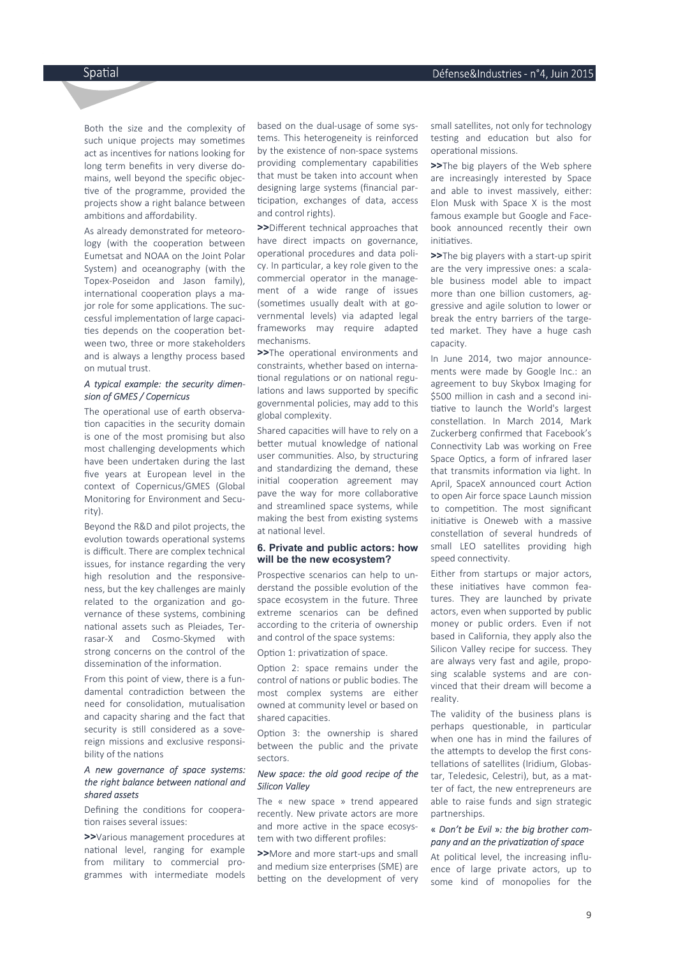Both the size and the complexity of such unique projects may sometimes act as incentives for nations looking for long term benefits in very diverse domains, well beyond the specific objec tive of the programme, provided the projects show a right balance between ambitions and affordability.

As already demonstrated for meteorology (with the cooperation between Eumetsat and NOAA on the Joint Polar System) and oceanography (with the Topex-Poseidon and Jason family), international cooperation plays a major role for some applications. The successful implementation of large capacities depends on the cooperation between two, three or more stakeholders and is always a lengthy process based on mutual trust.

### *A typical example: the security dimension of GMES / Copernicus*

The operational use of earth observation capacities in the security domain is one of the most promising but also most challenging developments which have been undertaken during the last five years at European level in the context of Copernicus/GMES (Global Monitoring for Environment and Security).

Beyond the R&D and pilot projects, the evolution towards operational systems is difficult. There are complex technical issues, for instance regarding the very high resolution and the responsiveness, but the key challenges are mainly related to the organization and governance of these systems, combining national assets such as Pleiades, Terrasar-X and Cosmo-Skymed with strong concerns on the control of the dissemination of the information.

From this point of view, there is a fundamental contradiction between the need for consolidation, mutualisation and capacity sharing and the fact that security is still considered as a sovereign missions and exclusive responsibility of the nations

## *A new governance of space systems:*  the right balance between national and *shared assets*

Defining the conditions for cooperation raises several issues:

**>>**Various management procedures at national level, ranging for example from military to commercial programmes with intermediate models

based on the dual-usage of some systems. This heterogeneity is reinforced by the existence of non-space systems providing complementary capabilities that must be taken into account when designing large systems (financial par ticipation, exchanges of data, access and control rights).

**>>**Different technical approaches that have direct impacts on governance, operational procedures and data policy. In particular, a key role given to the commercial operator in the management of a wide range of issues (sometimes usually dealt with at governmental levels) via adapted legal frameworks may require adapted mechanisms.

>>The operational environments and constraints, whether based on interna tional regulations or on national regulations and laws supported by specific governmental policies, may add to this global complexity.

Shared capacities will have to rely on a better mutual knowledge of national user communities. Also, by structuring and standardizing the demand, these initial cooperation agreement may pave the way for more collaborative and streamlined space systems, while making the best from existing systems at national level.

### **6. Private and public actors: how will be the new ecosystem?**

Prospective scenarios can help to understand the possible evolution of the space ecosystem in the future. Three extreme scenarios can be defined according to the criteria of ownership and control of the space systems:

Option 1: privatization of space.

Option 2: space remains under the control of nations or public bodies. The most complex systems are either owned at community level or based on shared capacities.

Option 3: the ownership is shared between the public and the private sectors.

#### *New space: the old good recipe of the Silicon Valley*

The « new space » trend appeared recently. New private actors are more and more active in the space ecosystem with two different profiles:

**>>**More and more start-ups and small and medium size enterprises (SME) are betting on the development of very small satellites, not only for technology testing and education but also for operational missions.

**>>**The big players of the Web sphere are increasingly interested by Space and able to invest massively, either: Elon Musk with Space X is the most famous example but Google and Facebook announced recently their own initiatives

**>>**The big players with a start-up spirit are the very impressive ones: a scalable business model able to impact more than one billion customers, aggressive and agile solution to lower or break the entry barriers of the targeted market. They have a huge cash capacity.

In June 2014, two major announcements were made by Google Inc.: an agreement to buy Skybox Imaging for \$500 million in cash and a second ini tiative to launch the World's largest constellation. In March 2014, Mark Zuckerberg confirmed that Facebook's Connectivity Lab was working on Free Space Optics, a form of infrared laser that transmits information via light. In April, SpaceX announced court Action to open Air force space Launch mission to competition. The most significant initiative is Oneweb with a massive constellation of several hundreds of small LEO satellites providing high speed connectivity.

Either from startups or major actors, these initiatives have common features. They are launched by private actors, even when supported by public money or public orders. Even if not based in California, they apply also the Silicon Valley recipe for success. They are always very fast and agile, proposing scalable systems and are convinced that their dream will become a reality.

The validity of the business plans is perhaps questionable, in particular when one has in mind the failures of the attempts to develop the first constellations of satellites (Iridium, Globastar, Teledesic, Celestri), but, as a matter of fact, the new entrepreneurs are able to raise funds and sign strategic partnerships.

### « *Don't be Evil* »*: the big brother company and an the priva za on of space*

At political level, the increasing influence of large private actors, up to some kind of monopolies for the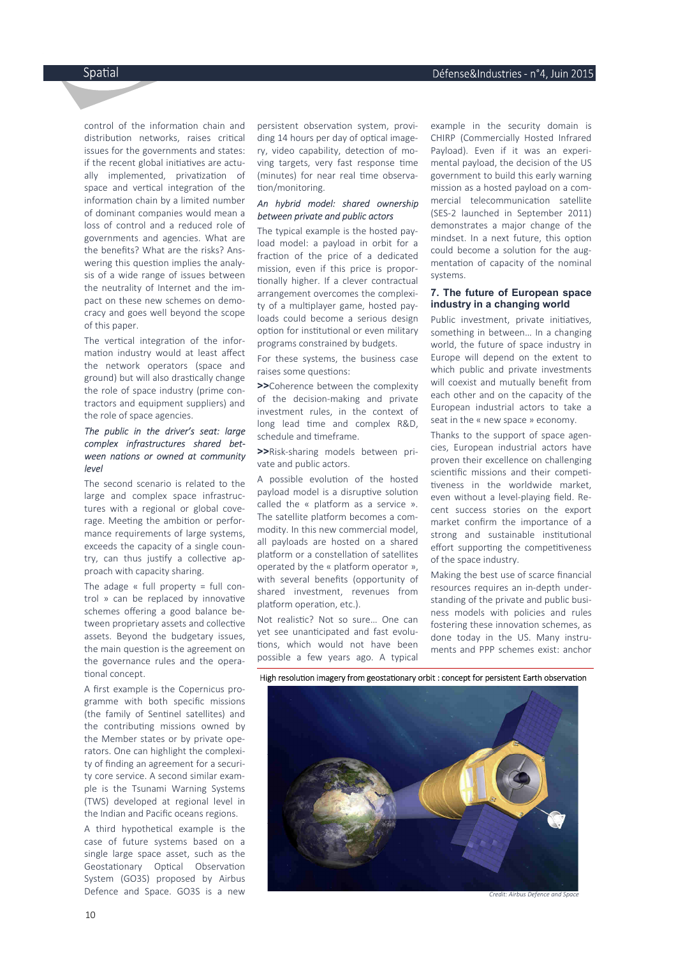control of the information chain and distribution networks, raises critical issues for the governments and states: if the recent global initiatives are actually implemented, privatization of space and vertical integration of the information chain by a limited number of dominant companies would mean a loss of control and a reduced role of governments and agencies. What are the benefits? What are the risks? Answering this question implies the analysis of a wide range of issues between the neutrality of Internet and the impact on these new schemes on democracy and goes well beyond the scope of this paper.

The vertical integration of the information industry would at least affect the network operators (space and ground) but will also drastically change the role of space industry (prime contractors and equipment suppliers) and the role of space agencies.

### *The public in the driver's seat: large complex infrastructures shared bet*ween nations or owned at community *level*

The second scenario is related to the large and complex space infrastructures with a regional or global coverage. Meeting the ambition or performance requirements of large systems, exceeds the capacity of a single country, can thus justify a collective approach with capacity sharing.

The adage  $\kappa$  full property = full control  $\ast$  can be replaced by innovative schemes offering a good balance between proprietary assets and collective assets. Beyond the budgetary issues, the main question is the agreement on the governance rules and the opera tional concept.

A first example is the Copernicus programme with both specific missions (the family of Sentinel satellites) and the contributing missions owned by the Member states or by private operators. One can highlight the complexity of finding an agreement for a security core service. A second similar example is the Tsunami Warning Systems (TWS) developed at regional level in the Indian and Pacific oceans regions.

A third hypothetical example is the case of future systems based on a single large space asset, such as the Geostationary Optical Observation System (GO3S) proposed by Airbus Defence and Space. GO3S is a new

persistent observation system, providing 14 hours per day of optical imagery, video capability, detection of moving targets, very fast response time (minutes) for near real time observation/monitoring.

### *An hybrid model: shared ownership between private and public actors*

 The typical example is the hosted payload model: a payload in orbit for a fraction of the price of a dedicated mission, even if this price is propor tionally higher. If a clever contractual arrangement overcomes the complexity of a multiplayer game, hosted payloads could become a serious design option for institutional or even military programs constrained by budgets.

For these systems, the business case raises some questions:

**>>**Coherence between the complexity of the decision-making and private investment rules, in the context of long lead time and complex R&D. schedule and timeframe.

**>>**Risk-sharing models between private and public actors.

A possible evolution of the hosted payload model is a disruptive solution called the « platform as a service ». The satellite platform becomes a commodity. In this new commercial model, all payloads are hosted on a shared platform or a constellation of satellites operated by the « platform operator », with several benefits (opportunity of shared investment, revenues from platform operation, etc.).

Not realistic? Not so sure... One can vet see unanticipated and fast evolutions, which would not have been possible a few years ago. A typical example in the security domain is CHIRP (Commercially Hosted Infrared Payload). Even if it was an experimental payload, the decision of the US government to build this early warning mission as a hosted payload on a commercial telecommunication satellite (SES-2 launched in September 2011) demonstrates a major change of the mindset. In a next future, this option could become a solution for the augmentation of capacity of the nominal systems.

### **7. The future of European space industry in a changing world**

Public investment, private initiatives, something in between… In a changing world, the future of space industry in Europe will depend on the extent to which public and private investments will coexist and mutually benefit from each other and on the capacity of the European industrial actors to take a seat in the « new space » economy.

Thanks to the support of space agencies, European industrial actors have proven their excellence on challenging scientific missions and their competitiveness in the worldwide market, even without a level-playing field. Recent success stories on the export market confirm the importance of a strong and sustainable institutional effort supporting the competitiveness of the space industry.

Making the best use of scarce financial resources requires an in-depth understanding of the private and public business models with policies and rules fostering these innovation schemes, as done today in the US. Many instruments and PPP schemes exist: anchor

High resolution imagery from geostationary orbit : concept for persistent Earth observation